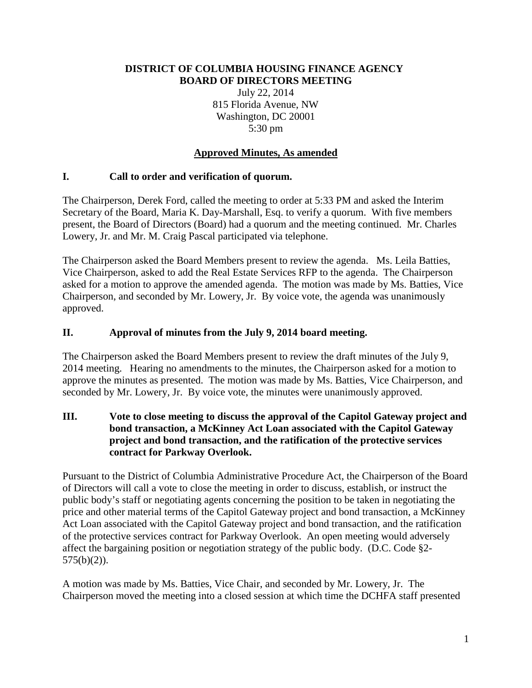#### **DISTRICT OF COLUMBIA HOUSING FINANCE AGENCY BOARD OF DIRECTORS MEETING**

July 22, 2014 815 Florida Avenue, NW Washington, DC 20001 5:30 pm

# **Approved Minutes, As amended**

### **I. Call to order and verification of quorum.**

The Chairperson, Derek Ford, called the meeting to order at 5:33 PM and asked the Interim Secretary of the Board, Maria K. Day-Marshall, Esq. to verify a quorum. With five members present, the Board of Directors (Board) had a quorum and the meeting continued. Mr. Charles Lowery, Jr. and Mr. M. Craig Pascal participated via telephone.

The Chairperson asked the Board Members present to review the agenda. Ms. Leila Batties, Vice Chairperson, asked to add the Real Estate Services RFP to the agenda. The Chairperson asked for a motion to approve the amended agenda. The motion was made by Ms. Batties, Vice Chairperson, and seconded by Mr. Lowery, Jr. By voice vote, the agenda was unanimously approved.

#### **II. Approval of minutes from the July 9, 2014 board meeting.**

The Chairperson asked the Board Members present to review the draft minutes of the July 9, 2014 meeting. Hearing no amendments to the minutes, the Chairperson asked for a motion to approve the minutes as presented. The motion was made by Ms. Batties, Vice Chairperson, and seconded by Mr. Lowery, Jr. By voice vote, the minutes were unanimously approved.

**III. Vote to close meeting to discuss the approval of the Capitol Gateway project and bond transaction, a McKinney Act Loan associated with the Capitol Gateway project and bond transaction, and the ratification of the protective services contract for Parkway Overlook.**

Pursuant to the District of Columbia Administrative Procedure Act, the Chairperson of the Board of Directors will call a vote to close the meeting in order to discuss, establish, or instruct the public body's staff or negotiating agents concerning the position to be taken in negotiating the price and other material terms of the Capitol Gateway project and bond transaction, a McKinney Act Loan associated with the Capitol Gateway project and bond transaction, and the ratification of the protective services contract for Parkway Overlook. An open meeting would adversely affect the bargaining position or negotiation strategy of the public body. (D.C. Code §2-  $575(b)(2)$ ).

A motion was made by Ms. Batties, Vice Chair, and seconded by Mr. Lowery, Jr. The Chairperson moved the meeting into a closed session at which time the DCHFA staff presented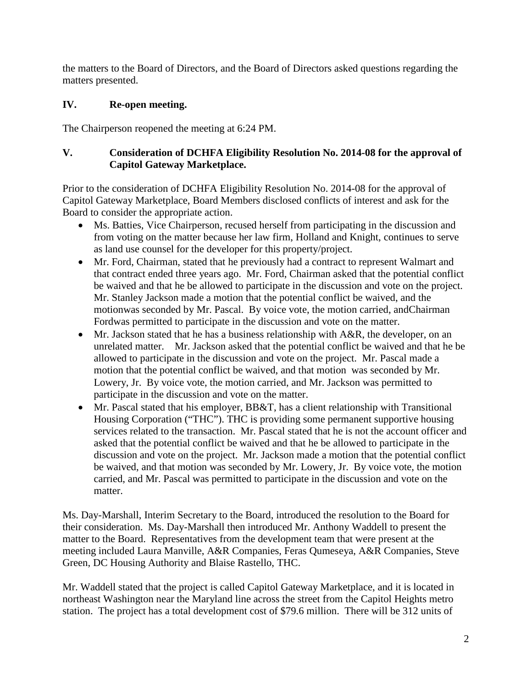the matters to the Board of Directors, and the Board of Directors asked questions regarding the matters presented.

# **IV. Re-open meeting.**

The Chairperson reopened the meeting at 6:24 PM.

# **V. Consideration of DCHFA Eligibility Resolution No. 2014-08 for the approval of Capitol Gateway Marketplace.**

Prior to the consideration of DCHFA Eligibility Resolution No. 2014-08 for the approval of Capitol Gateway Marketplace, Board Members disclosed conflicts of interest and ask for the Board to consider the appropriate action.

- Ms. Batties, Vice Chairperson, recused herself from participating in the discussion and from voting on the matter because her law firm, Holland and Knight, continues to serve as land use counsel for the developer for this property/project.
- Mr. Ford, Chairman, stated that he previously had a contract to represent Walmart and that contract ended three years ago. Mr. Ford, Chairman asked that the potential conflict be waived and that he be allowed to participate in the discussion and vote on the project. Mr. Stanley Jackson made a motion that the potential conflict be waived, and the motionwas seconded by Mr. Pascal. By voice vote, the motion carried, andChairman Fordwas permitted to participate in the discussion and vote on the matter.
- Mr. Jackson stated that he has a business relationship with  $A\&R$ , the developer, on an unrelated matter. Mr. Jackson asked that the potential conflict be waived and that he be allowed to participate in the discussion and vote on the project. Mr. Pascal made a motion that the potential conflict be waived, and that motion was seconded by Mr. Lowery, Jr. By voice vote, the motion carried, and Mr. Jackson was permitted to participate in the discussion and vote on the matter.
- Mr. Pascal stated that his employer, BB&T, has a client relationship with Transitional Housing Corporation ("THC"). THC is providing some permanent supportive housing services related to the transaction. Mr. Pascal stated that he is not the account officer and asked that the potential conflict be waived and that he be allowed to participate in the discussion and vote on the project. Mr. Jackson made a motion that the potential conflict be waived, and that motion was seconded by Mr. Lowery, Jr. By voice vote, the motion carried, and Mr. Pascal was permitted to participate in the discussion and vote on the matter.

Ms. Day-Marshall, Interim Secretary to the Board, introduced the resolution to the Board for their consideration. Ms. Day-Marshall then introduced Mr. Anthony Waddell to present the matter to the Board. Representatives from the development team that were present at the meeting included Laura Manville, A&R Companies, Feras Qumeseya, A&R Companies, Steve Green, DC Housing Authority and Blaise Rastello, THC.

Mr. Waddell stated that the project is called Capitol Gateway Marketplace, and it is located in northeast Washington near the Maryland line across the street from the Capitol Heights metro station. The project has a total development cost of \$79.6 million. There will be 312 units of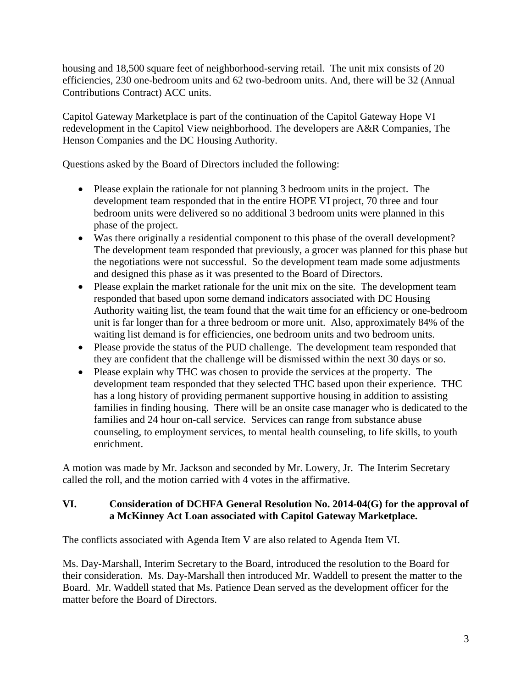housing and 18,500 square feet of neighborhood-serving retail. The unit mix consists of 20 efficiencies, 230 one-bedroom units and 62 two-bedroom units. And, there will be 32 (Annual Contributions Contract) ACC units.

Capitol Gateway Marketplace is part of the continuation of the Capitol Gateway Hope VI redevelopment in the Capitol View neighborhood. The developers are A&R Companies, The Henson Companies and the DC Housing Authority.

Questions asked by the Board of Directors included the following:

- Please explain the rationale for not planning 3 bedroom units in the project. The development team responded that in the entire HOPE VI project, 70 three and four bedroom units were delivered so no additional 3 bedroom units were planned in this phase of the project.
- Was there originally a residential component to this phase of the overall development? The development team responded that previously, a grocer was planned for this phase but the negotiations were not successful. So the development team made some adjustments and designed this phase as it was presented to the Board of Directors.
- Please explain the market rationale for the unit mix on the site. The development team responded that based upon some demand indicators associated with DC Housing Authority waiting list, the team found that the wait time for an efficiency or one-bedroom unit is far longer than for a three bedroom or more unit. Also, approximately 84% of the waiting list demand is for efficiencies, one bedroom units and two bedroom units.
- Please provide the status of the PUD challenge. The development team responded that they are confident that the challenge will be dismissed within the next 30 days or so.
- Please explain why THC was chosen to provide the services at the property. The development team responded that they selected THC based upon their experience. THC has a long history of providing permanent supportive housing in addition to assisting families in finding housing. There will be an onsite case manager who is dedicated to the families and 24 hour on-call service. Services can range from substance abuse counseling, to employment services, to mental health counseling, to life skills, to youth enrichment.

A motion was made by Mr. Jackson and seconded by Mr. Lowery, Jr. The Interim Secretary called the roll, and the motion carried with 4 votes in the affirmative.

# **VI. Consideration of DCHFA General Resolution No. 2014-04(G) for the approval of a McKinney Act Loan associated with Capitol Gateway Marketplace.**

The conflicts associated with Agenda Item V are also related to Agenda Item VI.

Ms. Day-Marshall, Interim Secretary to the Board, introduced the resolution to the Board for their consideration. Ms. Day-Marshall then introduced Mr. Waddell to present the matter to the Board. Mr. Waddell stated that Ms. Patience Dean served as the development officer for the matter before the Board of Directors.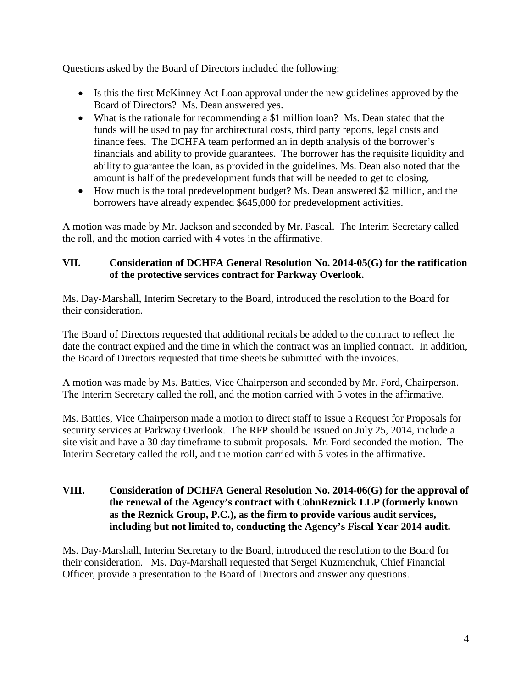Questions asked by the Board of Directors included the following:

- Is this the first McKinney Act Loan approval under the new guidelines approved by the Board of Directors? Ms. Dean answered yes.
- What is the rationale for recommending a \$1 million loan? Ms. Dean stated that the funds will be used to pay for architectural costs, third party reports, legal costs and finance fees. The DCHFA team performed an in depth analysis of the borrower's financials and ability to provide guarantees. The borrower has the requisite liquidity and ability to guarantee the loan, as provided in the guidelines. Ms. Dean also noted that the amount is half of the predevelopment funds that will be needed to get to closing.
- How much is the total predevelopment budget? Ms. Dean answered \$2 million, and the borrowers have already expended \$645,000 for predevelopment activities.

A motion was made by Mr. Jackson and seconded by Mr. Pascal. The Interim Secretary called the roll, and the motion carried with 4 votes in the affirmative.

# **VII. Consideration of DCHFA General Resolution No. 2014-05(G) for the ratification of the protective services contract for Parkway Overlook.**

Ms. Day-Marshall, Interim Secretary to the Board, introduced the resolution to the Board for their consideration.

The Board of Directors requested that additional recitals be added to the contract to reflect the date the contract expired and the time in which the contract was an implied contract. In addition, the Board of Directors requested that time sheets be submitted with the invoices.

A motion was made by Ms. Batties, Vice Chairperson and seconded by Mr. Ford, Chairperson. The Interim Secretary called the roll, and the motion carried with 5 votes in the affirmative.

Ms. Batties, Vice Chairperson made a motion to direct staff to issue a Request for Proposals for security services at Parkway Overlook. The RFP should be issued on July 25, 2014, include a site visit and have a 30 day timeframe to submit proposals. Mr. Ford seconded the motion. The Interim Secretary called the roll, and the motion carried with 5 votes in the affirmative.

### **VIII. Consideration of DCHFA General Resolution No. 2014-06(G) for the approval of the renewal of the Agency's contract with CohnReznick LLP (formerly known as the Reznick Group, P.C.), as the firm to provide various audit services, including but not limited to, conducting the Agency's Fiscal Year 2014 audit.**

Ms. Day-Marshall, Interim Secretary to the Board, introduced the resolution to the Board for their consideration. Ms. Day-Marshall requested that Sergei Kuzmenchuk, Chief Financial Officer, provide a presentation to the Board of Directors and answer any questions.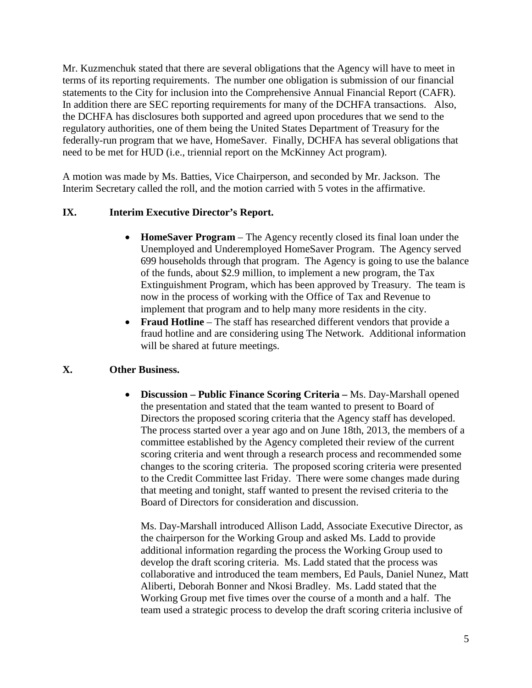Mr. Kuzmenchuk stated that there are several obligations that the Agency will have to meet in terms of its reporting requirements. The number one obligation is submission of our financial statements to the City for inclusion into the Comprehensive Annual Financial Report (CAFR). In addition there are SEC reporting requirements for many of the DCHFA transactions. Also, the DCHFA has disclosures both supported and agreed upon procedures that we send to the regulatory authorities, one of them being the United States Department of Treasury for the federally-run program that we have, HomeSaver. Finally, DCHFA has several obligations that need to be met for HUD (i.e., triennial report on the McKinney Act program).

A motion was made by Ms. Batties, Vice Chairperson, and seconded by Mr. Jackson. The Interim Secretary called the roll, and the motion carried with 5 votes in the affirmative.

### **IX. Interim Executive Director's Report.**

- **HomeSaver Program** The Agency recently closed its final loan under the Unemployed and Underemployed HomeSaver Program. The Agency served 699 households through that program. The Agency is going to use the balance of the funds, about \$2.9 million, to implement a new program, the Tax Extinguishment Program, which has been approved by Treasury. The team is now in the process of working with the Office of Tax and Revenue to implement that program and to help many more residents in the city.
- **Fraud Hotline** The staff has researched different vendors that provide a fraud hotline and are considering using The Network. Additional information will be shared at future meetings.

# **X. Other Business.**

• **Discussion – Public Finance Scoring Criteria –** Ms. Day-Marshall opened the presentation and stated that the team wanted to present to Board of Directors the proposed scoring criteria that the Agency staff has developed. The process started over a year ago and on June 18th, 2013, the members of a committee established by the Agency completed their review of the current scoring criteria and went through a research process and recommended some changes to the scoring criteria. The proposed scoring criteria were presented to the Credit Committee last Friday. There were some changes made during that meeting and tonight, staff wanted to present the revised criteria to the Board of Directors for consideration and discussion.

Ms. Day-Marshall introduced Allison Ladd, Associate Executive Director, as the chairperson for the Working Group and asked Ms. Ladd to provide additional information regarding the process the Working Group used to develop the draft scoring criteria. Ms. Ladd stated that the process was collaborative and introduced the team members, Ed Pauls, Daniel Nunez, Matt Aliberti, Deborah Bonner and Nkosi Bradley. Ms. Ladd stated that the Working Group met five times over the course of a month and a half. The team used a strategic process to develop the draft scoring criteria inclusive of